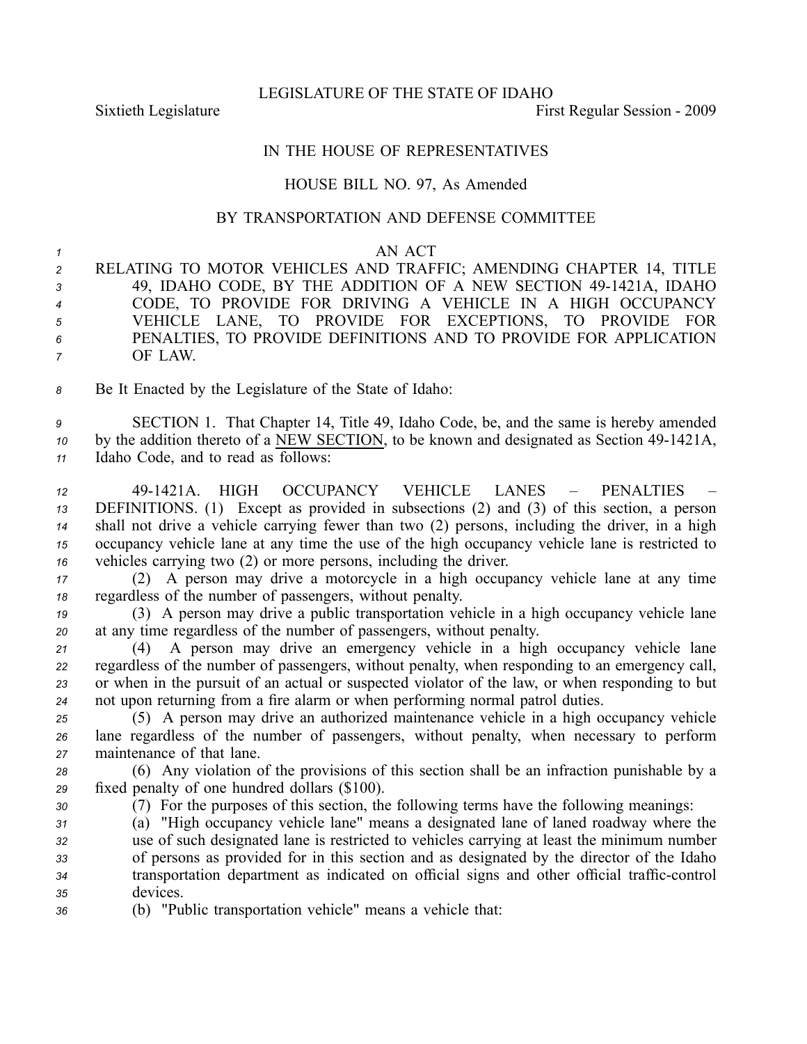LEGISLATURE OF THE STATE OF IDAHO

Sixtieth Legislature **First** Regular Session - 2009

## IN THE HOUSE OF REPRESENTATIVES

## HOUSE BILL NO. 97, As Amended

## BY TRANSPORTATION AND DEFENSE COMMITTEE

## *<sup>1</sup>* AN ACT

 RELATING TO MOTOR VEHICLES AND TRAFFIC; AMENDING CHAPTER 14, TITLE 3 49, IDAHO CODE, BY THE ADDITION OF A NEW SECTION 49-1421A, IDAHO CODE, TO PROVIDE FOR DRIVING A VEHICLE IN A HIGH OCCUPANCY VEHICLE LANE, TO PROVIDE FOR EXCEPTIONS, TO PROVIDE FOR PENALTIES, TO PROVIDE DEFINITIONS AND TO PROVIDE FOR APPLICATION *<sup>7</sup>* OF LAW.

*<sup>8</sup>* Be It Enacted by the Legislature of the State of Idaho:

*<sup>9</sup>* SECTION 1. That Chapter 14, Title 49, Idaho Code, be, and the same is hereby amended *10* by the addition thereto of a NEW SECTION, to be known and designated as Section 49-1421A, *<sup>11</sup>* Idaho Code, and to read as follows:

 491421A. HIGH OCCUPANCY VEHICLE LANES – PENALTIES – DEFINITIONS. (1) Except as provided in subsections (2) and (3) of this section, <sup>a</sup> person shall not drive <sup>a</sup> vehicle carrying fewer than two (2) persons, including the driver, in <sup>a</sup> high occupancy vehicle lane at any time the use of the high occupancy vehicle lane is restricted to vehicles carrying two (2) or more persons, including the driver.

*<sup>17</sup>* (2) A person may drive <sup>a</sup> motorcycle in <sup>a</sup> high occupancy vehicle lane at any time *<sup>18</sup>* regardless of the number of passengers, without penalty.

*<sup>19</sup>* (3) A person may drive <sup>a</sup> public transportation vehicle in <sup>a</sup> high occupancy vehicle lane *<sup>20</sup>* at any time regardless of the number of passengers, without penalty.

 (4) A person may drive an emergency vehicle in <sup>a</sup> high occupancy vehicle lane regardless of the number of passengers, without penalty, when responding to an emergency call, or when in the pursuit of an actual or suspected violator of the law, or when responding to but not upon returning from <sup>a</sup> fire alarm or when performing normal patrol duties.

*<sup>25</sup>* (5) A person may drive an authorized maintenance vehicle in <sup>a</sup> high occupancy vehicle *<sup>26</sup>* lane regardless of the number of passengers, without penalty, when necessary to perform *<sup>27</sup>* maintenance of that lane.

*<sup>28</sup>* (6) Any violation of the provisions of this section shall be an infraction punishable by <sup>a</sup> *<sup>29</sup>* fixed penalty of one hundred dollars (\$100).

*<sup>30</sup>* (7) For the purposes of this section, the following terms have the following meanings:

 (a) "High occupancy vehicle lane" means <sup>a</sup> designated lane of laned roadway where the use of such designated lane is restricted to vehicles carrying at least the minimum number of persons as provided for in this section and as designated by the director of the Idaho transportation department as indicated on official signs and other official traffic-control *<sup>35</sup>* devices.

*<sup>36</sup>* (b) "Public transportation vehicle" means <sup>a</sup> vehicle that: